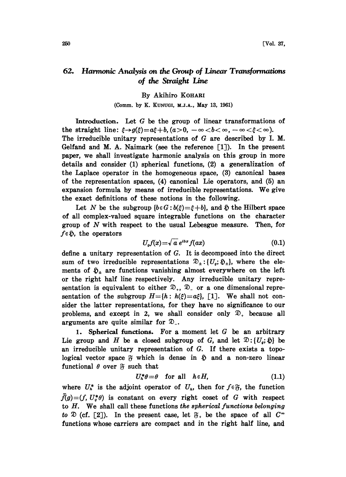## 62. Harmonic Analysis on the Group of Linear Transformations of the Straight Line

## By Akihiro KOHARI

## (Comm. by K. KUNUGI, M.J.A., May 13, 1961)

Introduction. Let G be the group of linear transformations of the straight line:  $\xi \rightarrow g(\xi) = a\xi + b$ ,  $(a>0, -\infty < b < \infty, -\infty < \xi < \infty)$ . The irreducible unitary representations of G are described by I. M. Gelfand and M. A. Naimark (see the reference [1). In the present paper, we shall investigate harmonic analysis on this group in more details and consider  $(1)$  spherical functions,  $(2)$  a generalization of the Laplace operator in the homogeneous space, (3) canonical bases of the representation spaces, (4) canonical Lie operators, and (5) an expansion formula by means of irreducible representations. We give the exact definitions of these notions in the following.

Let N be the subgroup  $\{b \in G : b(\xi) = \xi + b\}$ , and  $\tilde{p}$  the Hilbert space of all complex-valued square integrable functions on the character group of N with respect to the usual Lebesgue measure. Then, for  $f \in \mathfrak{H}$ , the operators

$$
U_{q}f(x) = \sqrt{a} e^{ibx} f(ax) \qquad (0.1)
$$

define a unitary representation of G. It is decomposed into the direct sum of two irreducible representations  $\mathfrak{D}_\pm$ :  $\{U_o, \mathfrak{D}_\pm\}$ , where the elements of  $\mathfrak{D}_\pm$  are functions vanishing almost everywhere on the left<br>or the right half line respectively. Any irreducible unitary repreor the right half line respectively. Any irreducible unitary representation is equivalent to either  $\mathfrak{D}_+$ ,  $\mathfrak{D}_-$  or a one dimensional representation of the subgroup  $H=[h: h(\xi)=a\xi]$ , [1]. We shall not consider the latter representations, for they have no significance to our problems, and except in 2, we shall consider only  $\mathcal{D}_+$  because all arguments are quite similar for  $\mathcal{D}_{-}$ .

1. Spherical functions. For a moment let  $G$  be an arbitrary Lie group and H be a closed subgroup of G, and let  $\mathfrak{D}: \{U_o, \mathfrak{D}\}\)$  be an irreducible unitary representation of G. If there exists a topological vector space  $\mathfrak F$  which is dense in  $\mathfrak D$  and a non-zero linear functional  $\theta$  over  $\mathfrak F$  such that

$$
U_h^*\theta = \theta \quad \text{for all} \quad h \in H,
$$
 (1.1)

where  $U_h^*$  is the adjoint operator of  $U_h$ , then for  $f \in \mathfrak{F}$ , the function  $\tilde{f}(g)=(f, U^*_g \theta)$  is constant on every right coset of G with respect to  $H$ . We shall call these functions the spherical functions belonging to  $\mathfrak D$  (cf. [2]). In the present case, let  $\mathfrak F$ , be the space of all  $C^{\infty}$ functions whose carriers are compact and in the right half line, and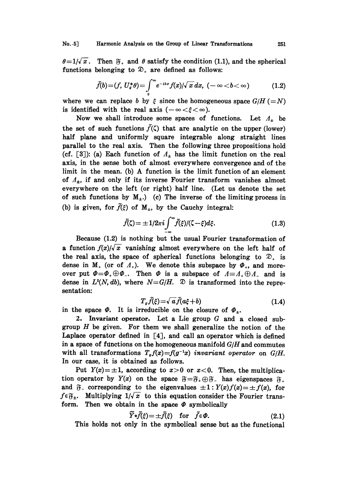No..5] Harmonic Analysis on the Group of Linear Transformations 251

 $\theta=1/\sqrt{x}$ . Then  $\mathfrak{F}_+$  and  $\theta$  satisfy the condition (1.1), and the spherical functions belonging to  $\mathfrak{D}_+$  are defined as follows:

$$
\tilde{f}(b) = (f, U^*_\sigma \theta) = \int\limits_0^\infty e^{-ibx} f(x) / \sqrt{x} \, dx, \quad (-\infty < b < \infty) \tag{1.2}
$$

where we can replace b by  $\xi$  since the homogeneous space  $G/H (=N)$ is identified with the real axis  $(-\infty < \xi < \infty)$ .

Now we shall introduce some spaces of functions. Let  $A_+$  be the set of such functions  $\tilde{f}(\zeta)$  that are analytic on the upper (lower) half plane and uniformly square integrable along straight lines parallel to the real axis. Then the following three propositions hold (cf. [3]): (a) Each function of  $\Lambda_{\pm}$  has the limit function on the real axis, in the sense both of almost everywhere convergence and of the limit in the mean. (b) A function is the limit function of an element of  $\Lambda_{\pm}$ , if and only if its inverse Fourier transform vanishes almost everywhere on the left (or right) half line. (Let us denote the set of such functions by  $M_{+}$ .) (c) The inverse of the limiting process in (b) is given, for  $\tilde{f}(\xi)$  of  $M_{+}$ , by the Cauchy integral:

$$
\tilde{f}(\zeta) = \pm 1/2\pi i \int_{-\infty}^{\infty} \tilde{f}(\xi) / (\zeta - \xi) d\xi.
$$
 (1.3)

Because (1.2) is nothing but the usual Fourier transformation of a function  $f(x)/\sqrt{x}$  vanishing almost everywhere on the left half of the real axis, the space of spherical functions belonging to  $\mathfrak{D}_+$  is dense in  $M_+$  (or of  $\Lambda_+$ ). We denote this subspace by  $\Phi_+$ , and moreover put  $\Phi=\Phi_+\oplus\Phi_+$ . Then  $\Phi$  is a subspace of  $A=A_+\oplus A_-$  and is dense in  $L^2(N, db)$ , where  $N = G/H$ .  $\mathfrak D$  is transformed into the representation:

$$
T_{\sigma}\tilde{f}(\xi) = \sqrt{a}\tilde{f}(a\xi + b) \tag{1.4}
$$

 $I_q J(\xi) = \sqrt{a} J(a\xi + b)$ <br>in the space  $\Phi$ . It is irreducible on the closure of  $\Phi_{\pm}$ .

2. Invariant operator. Let a Lie group G and a closed subgroup  $H$  be given. For them we shall generalize the notion of the Laplace operator defined in  $[4]$ , and call an operator which is defined in a space of functions on the homogeneous manifold  $G/H$  and commutes with all transformations  $T_g f(x)=f(g^{-1}x)$  invariant operator on  $G/H$ . In our case, it is obtained as follows.

Put  $Y(x) = \pm 1$ , according to  $x>0$  or  $x<0$ . Then, the multiplicawith all transformations  $T_{\sigma}f(x)=f(g^{-1}x)$  invariant operator on  $G/H$ .<br>In our case, it is obtained as follows.<br>Put  $Y(x)=\pm 1$ , according to  $x>0$  or  $x<0$ . Then, the multiplica-<br>tion operator by  $Y(x)$  on the space  $\mathfrak{F}$ Put  $Y(x) = \pm 1$ , according to  $x > 0$  or  $x < 0$ . Then, the multiplication operator by  $Y(x)$  on the space  $\mathfrak{F} = \mathfrak{F}_+ \oplus \mathfrak{F}_-$  has eigenspaces  $\mathfrak{F}_+$  and  $\mathfrak{F}_-$  corresponding to the eigenvalues  $\pm 1 : Y(x)f(x) = \$ and  $\tilde{\sigma}_-$  corresponding to the eigenvalues  $\pm 1$ :  $Y(x)f(x) = \pm f(x)$ , for  $f \in \tilde{\sigma}_+$ . Multiplying  $1/\sqrt{x}$  to this equation consider the Fourier transform. Then we obtain in the space  $\Phi$  symbolically

$$
\widetilde{Y}*\widetilde{f}(\xi) = \pm \widetilde{f}(\xi) \quad \text{for} \quad \widetilde{f} \in \Phi. \tag{2.1}
$$

This holds not only in the symbolical sense but as the functional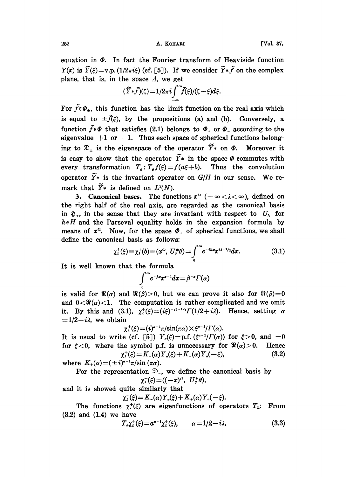252 **A. KOHARI Vol. 37,** 

equation in  $\Phi$ . In fact the Fourier transform of Heaviside function  $Y(x)$  is  $\widetilde{Y}(\xi) = \text{v.p.} (1/2\pi i\xi)$  (cf. [5]). If we consider  $\widetilde{Y}*\widetilde{f}$  on the complex plane, that is, in the space  $\Lambda$ , we get

$$
(\widetilde{Y}*\widetilde{f})(\zeta)=1/2\pi i\int_{-\infty}^{\infty}\widetilde{f}(\xi)/(\zeta-\xi)d\xi.
$$

For  $\tilde{f} \in \Phi_+$ , this function has the limit function on the real axis which is equal to  $\pm \tilde{f}(\xi)$ , by the propositions (a) and (b). Conversely, a function  $\tilde{f} \in \Phi$  that satisfies (2.1) belongs to  $\Phi_+$  or  $\Phi_-$  according to the eigenvalue  $+1$  or  $-1$ . Thus each space of spherical functions belonging to  $\mathfrak{D}_\pm$  is the eigenspace of the operator  $\widetilde{Y}$  on  $\Phi$ . Moreover it is easy to show that the operator  $\widetilde{Y}$  in the space  $\Phi$  commutes with every transformation  $T_g: T_g f(\xi) = f(a\xi + b)$ . Thus the convolution operator  $\widetilde{Y}$ \* is the invariant operator on  $G/H$  in our sense. We remark that  $\widetilde{Y}$ \* is defined on  $L^2(N)$ .

3. Canonical bases. The functions  $x^{i\lambda}$  ( $-\infty < \lambda < \infty$ ), defined on the right half of the real axis, are regarded as the canonical basis in  $\mathfrak{H}_+$ , in the sense that they are invariant with respect to  $U_h$  for  $h \in H$  and the Parseval equality holds in the expansion formula by means of  $x^{i}$ . Now, for the space  $\Phi_{+}$  of spherical functions, we shall define the canonical basis as follows:

$$
\chi_{\lambda}^{+}(\xi) \equiv \chi_{\lambda}^{+}(b) \equiv (x^{i\lambda}, U_{g}^{*}\theta) = \int_{0}^{\infty} e^{-ibx} x^{i\lambda - 1/z} dx.
$$
 (3.1)

It is well known that the formula

$$
\int_{0}^{\infty}e^{-\beta x}x^{\alpha-1}dx = \beta^{-\alpha}\Gamma(\alpha)
$$

is valid for  $\Re(\alpha)$  and  $\Re(\beta)>0$ , but we can prove it also for  $\Re(\beta)=0$ and  $0 < \Re(\alpha) < 1$ . The computation is rather complicated and we omit it. By this and (3.1),  $\chi_i^{\dagger}(\xi) = (i\xi)^{-i\lambda-1/2} \Gamma(1/2+i\lambda)$ . Hence, setting  $\alpha$  $=1/2-i\lambda$ , we obtain

$$
\chi_i^+(\xi) = (i)^{\alpha-1}\pi/\sin(\pi\alpha) \times \xi^{\alpha-1}/\Gamma(\alpha).
$$

It is usual to write (cf. [5])  $Y_a(\xi) = p.f.$  ( $\xi^{a-1}/\Gamma(\alpha)$ ) for  $\xi > 0$ , and  $=0$ for  $\xi < 0$ , where the symbol p.f. is unnecessary for  $\Re(\alpha) > 0$ . Hence  $\chi^+_i(\xi) = K_+(\alpha) Y_*(\xi) + K_-(\alpha) Y_*(-\xi),$  (3.2)

where  $K_{\pm}(\alpha) = (\pm i)^{\alpha-1}\pi/\sin(\pi\alpha)$ .

For the representation  $\mathcal{D}_{-}$ , we define the canonical basis by  $\chi_{\lambda}^{-}(\xi)=((-x)^{i\lambda}, U_{g}^{*}\theta),$ and it is showed quite similarly that

 $\chi_{\lambda}^-(\xi) = K_-(\alpha) Y_{\alpha}(\xi) + K_+(\alpha) Y_{\alpha}(-\xi).$ 

The functions  $\chi_i^+(\xi)$  are eigenfunctions of operators  $T_{\hbar}$ : From (3.2) and (1.4) we have

$$
T_{\lambda}\chi_i^+(\xi) = a^{\alpha-1}\chi_i^+(\xi), \qquad \alpha = 1/2 - i\lambda. \tag{3.3}
$$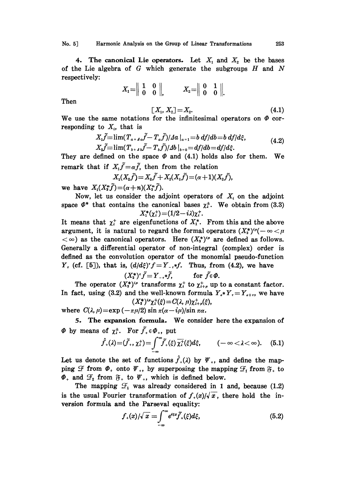No. 5] Harmonic Analysis on the Group of Linear Transformations 253

4. The canonical Lie operators. Let  $X_1$  and  $X_2$  be the bases of the Lie algebra of  $G$  which generate the subgroups  $H$  and  $N$ respectively:

$$
X_1 = \begin{bmatrix} 1 & 0 \\ 0 & 0 \end{bmatrix}, \qquad X_2 = \begin{bmatrix} 0 & 1 \\ 0 & 0 \end{bmatrix}.
$$

Then

$$
[X_1, X_2] = X_2. \t\t(4.1)
$$

We use the same notations for the infinitesimal operators on  $\Phi$  corresponding to  $X_i$ , that is

$$
X_{1}\tilde{f} \equiv \lim (T_{a+a}\tilde{f} - T_{a}\tilde{f})/4a|_{a=1} = b \frac{df}{db} = bf/d\xi,
$$
  
\n
$$
X_{2}\tilde{f} \equiv \lim (T_{b+a}\tilde{f} - T_{b}\tilde{f})/4b|_{b=0} = \frac{df}{db} = \frac{df}{d\xi}.
$$
 (4.2)

They are defined on the space  $\Phi$  and (4.1) holds also for them. We remark that if  $X_i \tilde{f} = \alpha \tilde{f}$ , then from the relation

$$
X_{1}(X_{2}\tilde{f})=X_{2}\tilde{f}+X_{2}(X_{1}\tilde{f})=(\alpha+1)(X_{2}\tilde{f}),
$$

we have  $X_1(X_3^r\tilde{f}) = (\alpha+n)(X_3^r\tilde{f}).$ 

Now, let us consider the adjoint operators of  $X_i$  on the adjoint space  $\Phi^*$  that contains the canonical bases  $\chi^*$ . We obtain from (3.3)  $X_1^*(\chi_1^*) = (1/2 - i\lambda)\chi_1^*.$ 

It means that  $\chi^{\dagger}$  are eigenfunctions of  $X_{1}^{*}$ . From this and the above argument, it is natural to regard the formal operators  $(X_2^*)^{i\mu}(-\infty < \mu)$  $<\infty$ ) as the canonical operators. Here  $(X_2^*)^{i\mu}$  are defined as follows. Generally a differential operator of non-integral (complex) order is defined as the convolution operator of the monomial pseudo-function Y, (cf. [5]), that is,  $(d/d\xi)^{r}f=Y_{-f}$ , Thus, from (4.2), we have

$$
(X_2^*)^{\tau}\tilde{f} = Y_{-\tau}*\tilde{f}, \quad \text{for } \tilde{f} \in \Phi.
$$

The operator  $(X_2^*)^{i\mu}$  transforms  $\chi^+_i$  to  $\chi^+_{i+\mu}$  up to a constant factor. In fact, using (3.2) and the well-known formula  $Y_{\sigma} * Y_{\tau} = Y_{\sigma+\tau}$ , we have  $(X_2^*)^{i\mu}\chi^+_{\lambda}(\xi) = C(\lambda, \mu)\chi^+_{\lambda+\mu}(\xi),$ 

where  $C(\lambda, \mu) = \exp(-\pi \mu/2) \sin \pi (\alpha - i\mu)/\sin \pi \alpha$ .

5. The expansion formula. We consider here the expansion of  $\Phi$  by means of  $\chi^{\pm}$ . For  $\tilde{f}_+ \in \Phi_+$ , put

$$
\hat{f}_{+}(\lambda)=(\tilde{f}_{+},\chi_{\lambda}^{+})=\underset{-\infty}{\int_{-\infty}^{\infty}}\tilde{f}_{+}(\xi)\overline{\chi_{\lambda}^{+}}(\xi)d\xi, \qquad (-\infty<\lambda<\infty). \quad (5.1)
$$

Let us denote the set of functions  $\hat{f}_+(\lambda)$  by  $\Psi_+$ , and define the mapping  $\mathcal F$  from  $\Phi_+$  onto  $\Psi_+$ , by superposing the mapping  $\mathcal F_1$  from  $\mathfrak F_+$  to  $\Phi_+$  and  $\mathcal{F}_2$  from  $\mathfrak{F}_+$  to  $\mathfrak{P}_+$ , which is defined below.

The mapping  $\mathcal{F}_1$  was already considered in 1 and, because (1.2) is the usual Fourier transformation of  $f_+(x)/\sqrt{x}$ , there hold the in-

version formula and the Parseval equality:  
\n
$$
f_{+}(x)/\sqrt{x} = \int_{-\infty}^{\infty} e^{i\epsilon x} \tilde{f}_{+}(\xi) d\xi,
$$
\n(5.2)